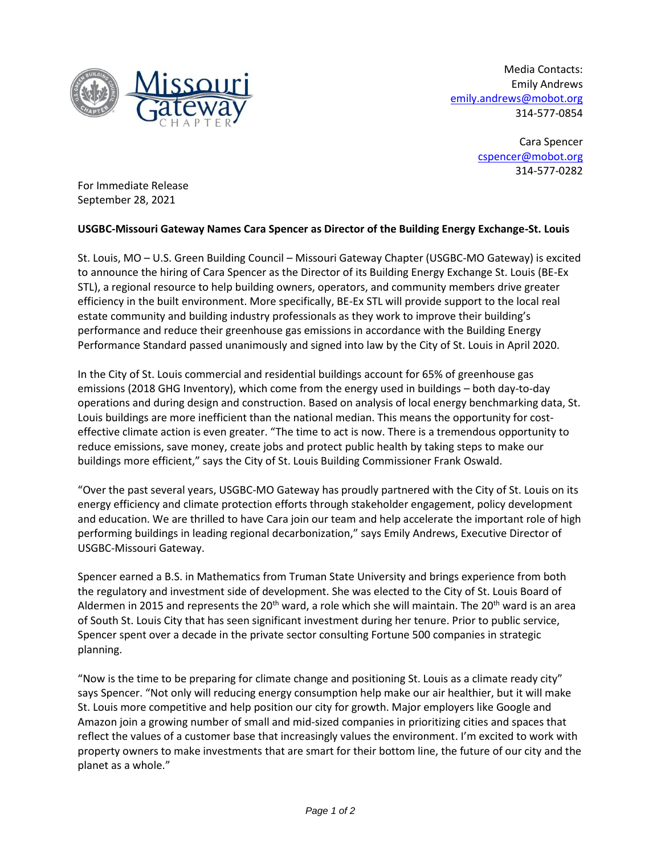

Media Contacts: Emily Andrews [emily.andrews@mobot.org](mailto:emily.andrews@mobot.org) 314-577-0854

> Cara Spencer [cspencer@mobot.org](mailto:cspencer@mobot.org) 314-577-0282

For Immediate Release September 28, 2021

## **USGBC-Missouri Gateway Names Cara Spencer as Director of the Building Energy Exchange-St. Louis**

St. Louis, MO – U.S. Green Building Council – Missouri Gateway Chapter (USGBC-MO Gateway) is excited to announce the hiring of Cara Spencer as the Director of its Building Energy Exchange St. Louis (BE-Ex STL), a regional resource to help building owners, operators, and community members drive greater efficiency in the built environment. More specifically, BE-Ex STL will provide support to the local real estate community and building industry professionals as they work to improve their building's performance and reduce their greenhouse gas emissions in accordance with the Building Energy Performance Standard passed unanimously and signed into law by the City of St. Louis in April 2020.

In the City of St. Louis commercial and residential buildings account for 65% of greenhouse gas emissions (2018 GHG Inventory), which come from the energy used in buildings – both day-to-day operations and during design and construction. Based on analysis of local energy benchmarking data, St. Louis buildings are more inefficient than the national median. This means the opportunity for costeffective climate action is even greater. "The time to act is now. There is a tremendous opportunity to reduce emissions, save money, create jobs and protect public health by taking steps to make our buildings more efficient," says the City of St. Louis Building Commissioner Frank Oswald.

"Over the past several years, USGBC-MO Gateway has proudly partnered with the City of St. Louis on its energy efficiency and climate protection efforts through stakeholder engagement, policy development and education. We are thrilled to have Cara join our team and help accelerate the important role of high performing buildings in leading regional decarbonization," says Emily Andrews, Executive Director of USGBC-Missouri Gateway.

Spencer earned a B.S. in Mathematics from Truman State University and brings experience from both the regulatory and investment side of development. She was elected to the City of St. Louis Board of Aldermen in 2015 and represents the 20<sup>th</sup> ward, a role which she will maintain. The 20<sup>th</sup> ward is an area of South St. Louis City that has seen significant investment during her tenure. Prior to public service, Spencer spent over a decade in the private sector consulting Fortune 500 companies in strategic planning.

"Now is the time to be preparing for climate change and positioning St. Louis as a climate ready city" says Spencer. "Not only will reducing energy consumption help make our air healthier, but it will make St. Louis more competitive and help position our city for growth. Major employers like Google and Amazon join a growing number of small and mid-sized companies in prioritizing cities and spaces that reflect the values of a customer base that increasingly values the environment. I'm excited to work with property owners to make investments that are smart for their bottom line, the future of our city and the planet as a whole."